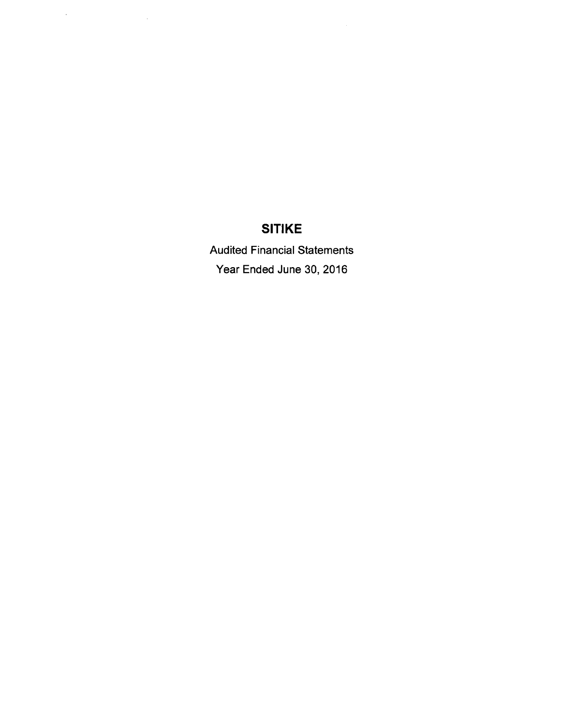# SITIKE

 $\label{eq:2.1} \frac{1}{2} \sum_{i=1}^n \frac{1}{2} \sum_{j=1}^n \frac{1}{2} \sum_{j=1}^n \frac{1}{2} \sum_{j=1}^n \frac{1}{2} \sum_{j=1}^n \frac{1}{2} \sum_{j=1}^n \frac{1}{2} \sum_{j=1}^n \frac{1}{2} \sum_{j=1}^n \frac{1}{2} \sum_{j=1}^n \frac{1}{2} \sum_{j=1}^n \frac{1}{2} \sum_{j=1}^n \frac{1}{2} \sum_{j=1}^n \frac{1}{2} \sum_{j=1}^n \frac{$ 

Audited Financia! Statements Year Ended June 30, 2016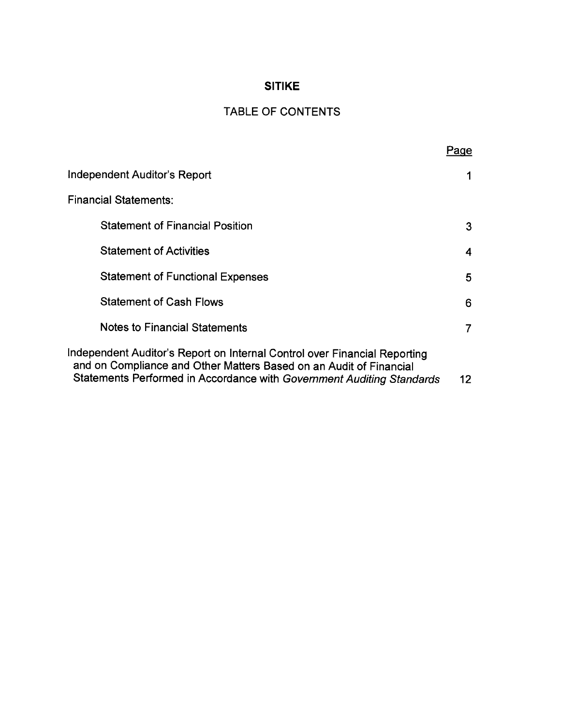## SITIKE

## TABLE OF CONTENTS

|                                                                                                                                                                                                                          | aae |
|--------------------------------------------------------------------------------------------------------------------------------------------------------------------------------------------------------------------------|-----|
| Independent Auditor's Report                                                                                                                                                                                             |     |
| <b>Financial Statements:</b>                                                                                                                                                                                             |     |
| <b>Statement of Financial Position</b>                                                                                                                                                                                   | 3   |
| <b>Statement of Activities</b>                                                                                                                                                                                           | 4   |
| <b>Statement of Functional Expenses</b>                                                                                                                                                                                  | 5   |
| <b>Statement of Cash Flows</b>                                                                                                                                                                                           | 6   |
| <b>Notes to Financial Statements</b>                                                                                                                                                                                     | 7   |
| Independent Auditor's Report on Internal Control over Financial Reporting<br>and on Compliance and Other Matters Based on an Audit of Financial<br>Statements Performed in Accordance with Government Auditing Standards | 12. |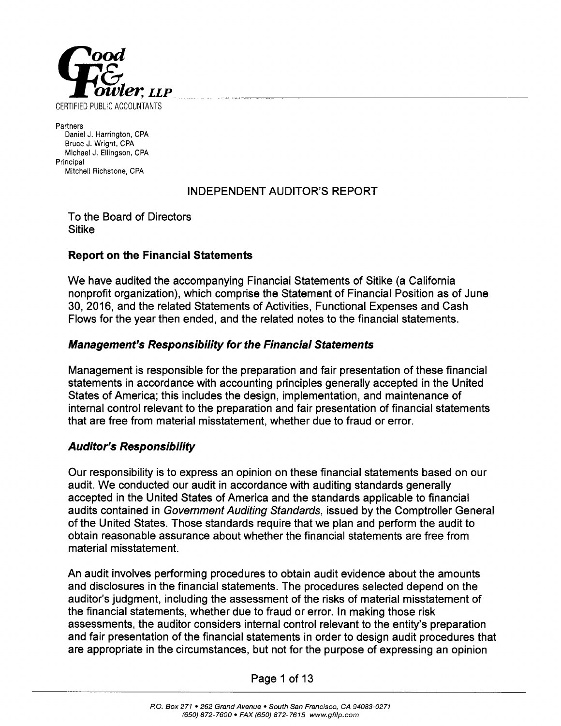

Partners Daniel J. Harrington, CPA Bruce J. Wright, CPA Michael J. Ellingson, CPA Principal Mitchell Richstone, CPA

## INDEPENDENT AUDITOR'S REPORT

To the Board of Directors **Sitike** 

### Report on the Financial Statements

We have audited the accompanying Financial Statements of Sitike (a California nonprofit organization), which comprise the Statement of Financial Position as of June 30,2016, and the related Statements of Activities, Functional Expenses and Cash FIows for the year then ended, and the related notes to the financial statements.

### Management's Responsibility for the Financial Statements

Management is responsible for the preparation and fair presentation of these financial statements in accordance with accounting principles generally accepted in the United States of America; this includes the design, implementation, and maintenance of interna! control relevant to the preparation and fair presentation of financial statements that are free from material misstatement, whether due to fraud or error.

### **Auditor's Responsibility**

Our responsibility is to express an opinion on these financial statements based on our audit. We conducted our audit in accordance with auditing standards generally accepted in the United States of America and the standards applicable to financial audits contained in Govemment Auditing Sfandards, issued by the Comptroller Genera! of the United States. Those standards require that we plan and perform the audit to obtain reasonable assurance about whether the financial statements are free from material misstatement.

An audit involves performing procedures to obtain audit evidence about the amounts and disclosures in the financial statements. The procedures selected depend on the auditor's judgment, including the assessment of the risks of material misstatement of the financial statements, whether due to fraud or error. In making those risk assessments, the auditor considers internal control relevant to the entity's preparation and fair presentation of the financial statements in order to design audit procedures that are appropriate in the circumstances, but not for the purpose of expressing an opinion

Page 1 of 13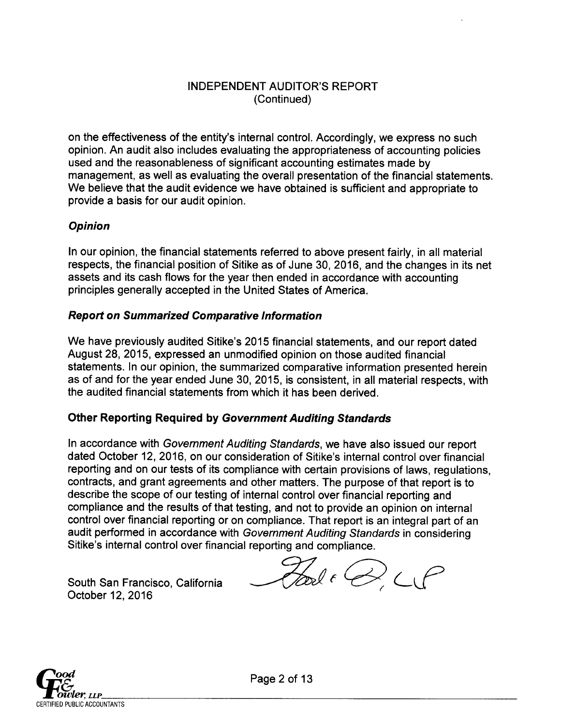### INDEPENDENT AUDITOR'S REPORT (Continued)

on the effectiveness of the entity's internal control. Accordingly, we express no such opinion. An audit also includes evaluating the appropriateness of accounting policies used and the reasonableness of significant accounting estimates made by management, as well as evaluating the overall presentation of the financial statements. We believe that the audit evidence we have obtained is sufficient and appropriate to provide a basis for our audit opinion.

## **Opinion**

ln our opinion, the financial statements referred to above present fairly, in all material respects, the financial position of Sitike as of June 30, 2016, and the changes in its net assets and its cash flows for the year then ended in accordance with accounting principles generally accepted in the United States of America.

## Report on Summarized Comparative lnformation

We have previously audited Sitike's 2015 financial statements, and our report dated August 28,2015, expressed an unmodified opinion on those audited financial statements. !n our opinion, the summarized comparative information presented herein as of and for the year ended June 30,2015, is consistent, in all material respects, with the audited financial statements from which it has been derived.

## Other Reporting Required by Govemment Auditing Standards

ln accordance with Govemment Auditing Sfandards, we have also issued our report dated October 12,2016, on our consideration of Sitike's internal control over financial reporting and on our tests of its compliance with certain provisions of laws, regulations, contracts, and grant agreements and other matters. The purpose of that report is to describe the scope of our testing of internal control over financial reporting and compliance and the results of that testing, and not to provide an opinion on internal control over financial reporting or on compliance. That report is an integral part of an audit performed in accordance with Govemment Auditing Standards in considering Sitike's internal control over financial reporting and compliance.

South San Francisco, California October 12,2016

Food  $\epsilon \otimes \epsilon P$ 



Page 2 of 13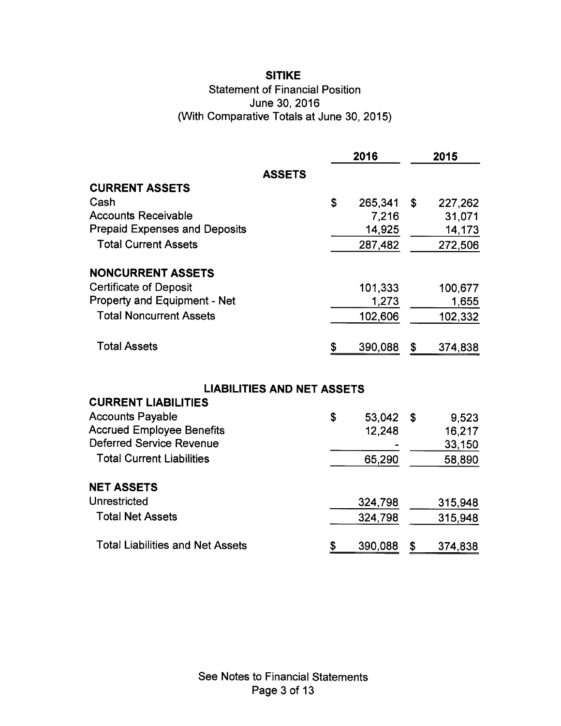## SITIKE Statement of Financial Position June 30, 2016

(With Comparative Totals at June 30, 2015)

|                                      |               | 2016      |              | 2015    |
|--------------------------------------|---------------|-----------|--------------|---------|
|                                      | <b>ASSETS</b> |           |              |         |
| <b>CURRENT ASSETS</b>                |               |           |              |         |
| Cash                                 | Ŝ.            | 265,341   | $\mathbf{s}$ | 227,262 |
| <b>Accounts Receivable</b>           |               | 7,216     |              | 31,071  |
| <b>Prepaid Expenses and Deposits</b> |               | 14,925    |              | 14,173  |
| <b>Total Current Assets</b>          |               | 287,482   |              | 272,506 |
| <b>NONCURRENT ASSETS</b>             |               |           |              |         |
| <b>Certificate of Deposit</b>        |               | 101,333   |              | 100,677 |
| <b>Property and Equipment - Net</b>  |               | 1,273     |              | 1,655   |
| <b>Total Noncurrent Assets</b>       |               | 102,606   |              | 102,332 |
| <b>Total Assets</b>                  | \$            | 390,088   | \$           | 374,838 |
| <b>LIABILITIES AND NET ASSETS</b>    |               |           |              |         |
| <b>CURRENT LIABILITIES</b>           |               |           |              |         |
| <b>Accounts Payable</b>              | \$            | 53,042 \$ |              | 9,523   |
| <b>Accrued Employee Benefits</b>     |               | 12,248    |              | 16,217  |
| Deferred Service Revenue             |               |           |              | 33,150  |

| <b>Total Current Liabilities</b>        | 65,290  | 58,890  |
|-----------------------------------------|---------|---------|
| <b>NET ASSETS</b>                       |         |         |
| Unrestricted                            | 324,798 | 315,948 |
| <b>Total Net Assets</b>                 | 324,798 | 315,948 |
| <b>Total Liabilities and Net Assets</b> | 390,088 | 374,838 |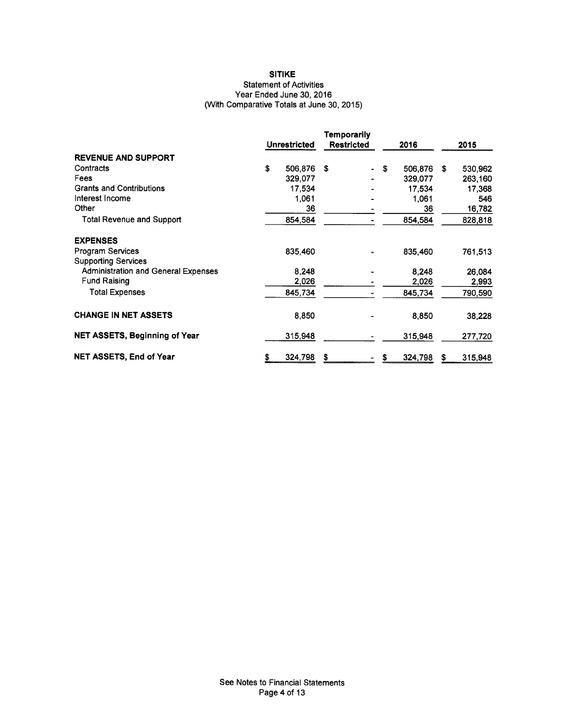### SITIKE Statement of Activities Year Ended June 30, 2016 With Comparative Totals at June 30, 2015)

|                                            |    | <b>Unrestricted</b> | Temporarily<br><b>Restricted</b> |                                | 2016    |    | 2015    |
|--------------------------------------------|----|---------------------|----------------------------------|--------------------------------|---------|----|---------|
| <b>REVENUE AND SUPPORT</b>                 |    |                     |                                  |                                |         |    |         |
| Contracts                                  | S  | 506,876             | \$                               | \$<br>$\overline{\phantom{0}}$ | 506,876 | S  | 530,962 |
| Fees                                       |    | 329,077             |                                  |                                | 329,077 |    | 263,160 |
| <b>Grants and Contributions</b>            |    | 17,534              |                                  |                                | 17.534  |    | 17,368  |
| Interest Income                            |    | 1,061               |                                  |                                | 1,061   |    | 546     |
| Other                                      |    | 36                  |                                  |                                | 36      |    | 16,782  |
| <b>Total Revenue and Support</b>           |    | 854,584             |                                  |                                | 854,584 |    | 828,818 |
| <b>EXPENSES</b>                            |    |                     |                                  |                                |         |    |         |
| <b>Program Services</b>                    |    | 835,460             |                                  |                                | 835,460 |    | 761,513 |
| <b>Supporting Services</b>                 |    |                     |                                  |                                |         |    |         |
| <b>Administration and General Expenses</b> |    | 8,248               |                                  |                                | 8,248   |    | 26.084  |
| <b>Fund Raising</b>                        |    | 2,026               |                                  |                                | 2,026   |    | 2,993   |
| <b>Total Expenses</b>                      |    | 845,734             |                                  |                                | 845,734 |    | 790,590 |
| <b>CHANGE IN NET ASSETS</b>                |    | 8,850               |                                  |                                | 8,850   |    | 38,228  |
| <b>NET ASSETS, Beginning of Year</b>       |    | 315,948             |                                  |                                | 315,948 |    | 277,720 |
| NET ASSETS, End of Year                    | \$ | 324,798             | \$                               |                                | 324,798 | \$ | 315,948 |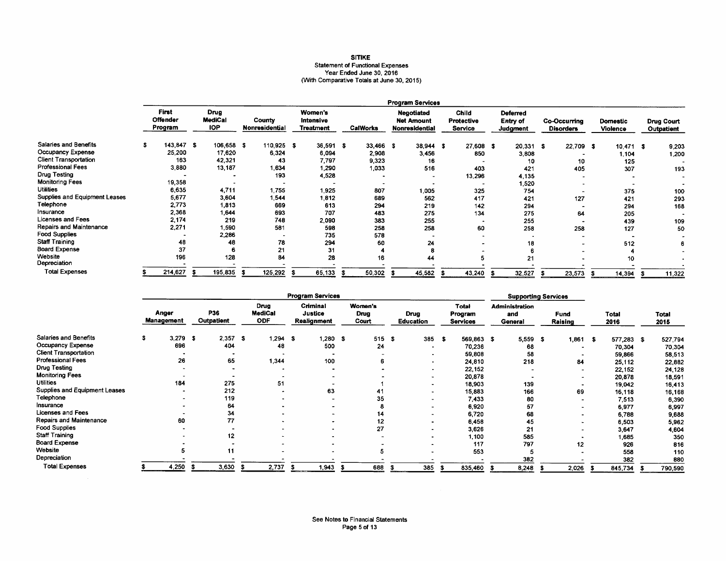#### rpenses<br>!016<br>ne 30. 2015 of Functional Expenses SITIKE<br>| of Functional Expe<br>| inded June 30, 201<br>| tive Totals at June **SITIKE** ent<br>r E mat Stateme<br>Year<br>With Compa)

|                               | <b>Program Services</b> |                                            |                                      |                          |      |                                   |                 |  |                                                          |                                              |     |                                                |                                  |                             |                                 |
|-------------------------------|-------------------------|--------------------------------------------|--------------------------------------|--------------------------|------|-----------------------------------|-----------------|--|----------------------------------------------------------|----------------------------------------------|-----|------------------------------------------------|----------------------------------|-----------------------------|---------------------------------|
|                               |                         | <b>First</b><br><b>Offender</b><br>Program | Drug<br><b>MediCal</b><br><b>IOP</b> | County<br>Nonresidential |      | Women's<br>Intensive<br>Treatment | <b>CalWorks</b> |  | <b>Negotiated</b><br><b>Net Amount</b><br>Nonresidential | <b>Child</b><br><b>Protective</b><br>Service |     | <b>Deferred</b><br><b>Entry of</b><br>Judgment | Co-Occurring<br><b>Disorders</b> | <b>Domestic</b><br>Violence | <b>Drug Court</b><br>Outpatient |
| <b>Salaries and Benefits</b>  | s                       | 143.847 \$                                 | 106,658 \$                           | 110.925 \$               |      | $36,591$ \$                       | 33,466 \$       |  | 38,944 \$                                                | 27,608 \$                                    |     | 20,331 S                                       | 22.709 \$                        | $10,471$ \$                 | 9,203                           |
| Occupancy Expense             |                         | 25,200                                     | 17,620                               | 6,324                    |      | 6,094                             | 2,908           |  | 3,456                                                    | 850                                          |     | 3,808                                          |                                  | 1.104                       | 1,200                           |
| <b>Client Transportation</b>  |                         | 163                                        | 42.321                               | 43                       |      | 7,797                             | 9,323           |  | 16                                                       |                                              |     | 10                                             | 10                               | 125                         |                                 |
| <b>Professional Fees</b>      |                         | 3,880                                      | 13,187                               | 1,634                    |      | 1,290                             | 1.033           |  | 516                                                      | 403                                          |     | 421                                            | 405                              | 307                         | 193                             |
| <b>Drug Testing</b>           |                         |                                            |                                      | 193                      |      | 4,528                             |                 |  |                                                          | 13,296                                       |     | 4,135                                          |                                  |                             |                                 |
| <b>Monitoring Fees</b>        |                         | 19,358                                     |                                      |                          |      |                                   |                 |  |                                                          |                                              |     | 1,520                                          |                                  |                             |                                 |
| <b>Utilities</b>              |                         | 6,635                                      | 4,711                                | 1.755                    |      | 1,925                             | 807             |  | 1,005                                                    | 325                                          |     | 754                                            |                                  | 375                         | 100                             |
| Supplies and Equipment Leases |                         | 5,677                                      | 3,604                                | 1,544                    |      | 1,812                             | 689             |  | 562                                                      | 417                                          |     | 421                                            | 127                              | 421                         | 293                             |
| Telephone                     |                         | 2,773                                      | 1,813                                | 669                      |      | 613                               | 294             |  | 219                                                      | 142                                          |     | 294                                            |                                  | 294                         | 168                             |
| Insurance                     |                         | 2,368                                      | 1,644                                | 693                      |      | 707                               | 483             |  | 275                                                      | 134                                          |     | 275                                            | 64                               | 205                         |                                 |
| Licenses and Fees             |                         | 2.174                                      | 219                                  | 748                      |      | 2,090                             | 383             |  | 255                                                      |                                              |     | 255                                            |                                  | 439                         | 109                             |
| Repairs and Maintenance       |                         | 2,271                                      | 1,590                                | 581                      |      | 598                               | 258             |  | 258                                                      | 60                                           |     | 258                                            | 258                              | 127                         | 50                              |
| <b>Food Supplies</b>          |                         |                                            | 2.286                                |                          |      | 735                               | 578             |  |                                                          |                                              |     |                                                |                                  |                             |                                 |
| <b>Staff Training</b>         |                         | 48                                         | 48                                   | 78                       |      | 294                               | 60              |  | 24                                                       |                                              |     | 18                                             |                                  | 512                         | 6.                              |
| <b>Board Expense</b>          |                         | 37                                         | 6                                    | 21                       |      | 31                                |                 |  |                                                          |                                              |     |                                                |                                  |                             |                                 |
| Website<br>Depreciation       |                         | 196                                        | 128                                  | 84                       |      | 28                                | 16              |  | 44                                                       |                                              |     | 21                                             |                                  | 10                          |                                 |
| <b>Total Expenses</b>         |                         | 214,627                                    | 195,835<br>s.                        | 125.292                  | - 55 | 65,133                            | 50,302          |  | 45,582                                                   | 43,240                                       | - 5 | 32,527                                         | 23,573                           | 14,394                      | 11,322                          |

|                                      | <b>Program Services</b> |                     |                   |                                      |                                                  |                          |                          |  | <b>Supporting Services</b>      |                                            |  |                                         |     |                 |                      |                      |
|--------------------------------------|-------------------------|---------------------|-------------------|--------------------------------------|--------------------------------------------------|--------------------------|--------------------------|--|---------------------------------|--------------------------------------------|--|-----------------------------------------|-----|-----------------|----------------------|----------------------|
|                                      |                         | Anger<br>Management | P36<br>Outpatient | Drug<br><b>MediCal</b><br><b>ODF</b> | Criminal<br><b>Justice</b><br><b>Realignment</b> |                          | Women's<br>Drug<br>Court |  | <b>Drug</b><br><b>Education</b> | <b>Total</b><br>Program<br><b>Services</b> |  | <b>Administration</b><br>and<br>General |     | Fund<br>Raising | <b>Total</b><br>2016 | <b>Total</b><br>2015 |
| <b>Salaries and Benefits</b>         | s                       | 3,279               | $2,357$ \$<br>- 3 | 1,294                                | $1,280$ \$<br>- \$                               |                          | 515S                     |  | 385S                            | 569,863 \$                                 |  | 5,559                                   | - 3 | 1,861 \$        | 577,283 \$           | 527,794              |
| Occupancy Expense                    |                         | 696                 | 404               | 48                                   | 500                                              |                          | 24                       |  | $\sim$                          | 70,236                                     |  | 68                                      |     |                 | 70,304               | 70,304               |
| <b>Client Transportation</b>         |                         |                     |                   |                                      |                                                  |                          |                          |  |                                 | 59,808                                     |  | 58                                      |     |                 | 59,866               | 58,513               |
| <b>Professional Fees</b>             |                         | 26                  | 65                | 1,344                                | 100                                              |                          |                          |  | $\blacksquare$                  | 24,810                                     |  | 218                                     |     | 84              | 25,112               | 22,882               |
| Drug Testing                         |                         |                     |                   |                                      |                                                  | $\overline{\phantom{0}}$ |                          |  |                                 | 22,152                                     |  |                                         |     |                 | 22,152               | 24,128               |
| <b>Monitoring Fees</b>               |                         |                     |                   |                                      |                                                  |                          |                          |  | $\overline{\phantom{0}}$        | 20,878                                     |  |                                         |     |                 | 20,878               | 18,591               |
| <b>Utilities</b>                     |                         | 184                 | 275               | 51                                   |                                                  |                          |                          |  |                                 | 18,903                                     |  | 139                                     |     |                 | 19,042               | 16,413               |
| <b>Supplies and Equipment Leases</b> |                         |                     | 212               | $\overline{\phantom{a}}$             | 63                                               |                          | 41                       |  |                                 | 15,883                                     |  | 166                                     |     | 69              | 16,118               | 16,168               |
| Telephone                            |                         |                     | 119               | ۰.                                   |                                                  | $\overline{\phantom{a}}$ | 35                       |  |                                 | 7,433                                      |  | 80                                      |     |                 | 7,513                | 6,390                |
| Insurance                            |                         |                     | 64                |                                      |                                                  |                          |                          |  |                                 | 6,920                                      |  | 57                                      |     |                 | 6.977                | 6,997                |
| Licenses and Fees                    |                         |                     | 34                |                                      |                                                  | $\blacksquare$           | 14                       |  |                                 | 6,720                                      |  | 68                                      |     |                 | 6,788                | 9,688                |
| <b>Repairs and Maintenance</b>       |                         | 60                  | 77                |                                      |                                                  | $\overline{\phantom{0}}$ | 12                       |  |                                 | 6,458                                      |  | 45                                      |     |                 | 6,503                | 5,962                |
| <b>Food Supplies</b>                 |                         |                     |                   |                                      |                                                  |                          | 27                       |  |                                 | 3,626                                      |  | 21                                      |     |                 | 3,647                | 4,604                |
| <b>Staff Training</b>                |                         |                     | 12                |                                      |                                                  |                          |                          |  |                                 | 1,100                                      |  | 585                                     |     |                 | 1,685                | 350                  |
| <b>Board Expense</b>                 |                         |                     |                   |                                      |                                                  |                          |                          |  |                                 | 117                                        |  | 797                                     |     | 12              | 926                  | 816                  |
| Website                              |                         | ь                   | 11                |                                      |                                                  |                          |                          |  |                                 | 553                                        |  | a                                       |     |                 | 558                  | 110                  |
| Depreciation                         |                         |                     |                   |                                      |                                                  |                          |                          |  |                                 |                                            |  | 382                                     |     |                 | 382                  | 880                  |
| <b>Total Expenses</b>                |                         | 4.250               | 3.630             | 2,737                                | 1,943                                            |                          | 688                      |  | 385                             | 835,460                                    |  | 8,248                                   |     | 2.026           | 845,734              | 790,590              |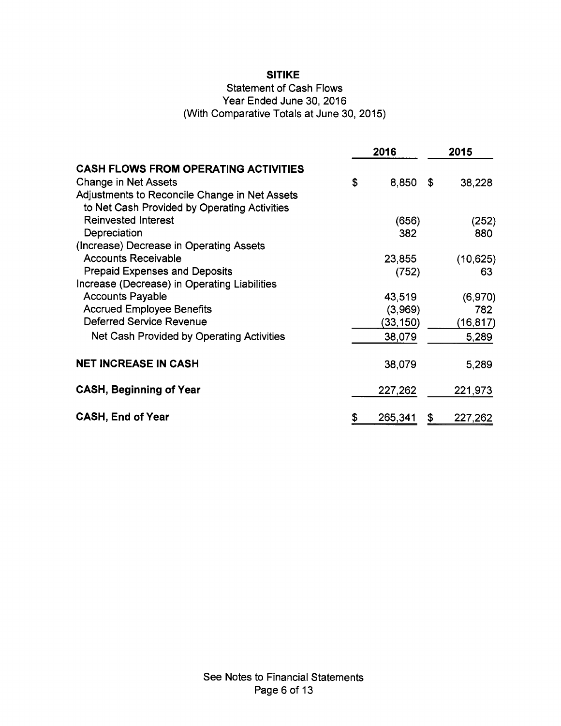### SITIKE

Statement of Cash Flows Year Ended June 30, 2016

(With Comparative Totals at June 30, 2015)

|                                                                                               | 2016          |    | 2015      |
|-----------------------------------------------------------------------------------------------|---------------|----|-----------|
| <b>CASH FLOWS FROM OPERATING ACTIVITIES</b>                                                   |               |    |           |
| Change in Net Assets                                                                          | \$<br>8,850   | -S | 38,228    |
| Adjustments to Reconcile Change in Net Assets<br>to Net Cash Provided by Operating Activities |               |    |           |
| <b>Reinvested Interest</b>                                                                    | (656)         |    | (252)     |
| Depreciation                                                                                  | 382           |    | 880       |
| (Increase) Decrease in Operating Assets                                                       |               |    |           |
| <b>Accounts Receivable</b>                                                                    | 23,855        |    | (10, 625) |
| <b>Prepaid Expenses and Deposits</b>                                                          | (752)         |    | 63        |
| Increase (Decrease) in Operating Liabilities                                                  |               |    |           |
| <b>Accounts Payable</b>                                                                       | 43,519        |    | (6,970)   |
| <b>Accrued Employee Benefits</b>                                                              | (3,969)       |    | 782       |
| Deferred Service Revenue                                                                      | (33, 150)     |    | (16,817)  |
| Net Cash Provided by Operating Activities                                                     | 38,079        |    | 5,289     |
| <b>NET INCREASE IN CASH</b>                                                                   | 38,079        |    | 5,289     |
| <b>CASH, Beginning of Year</b>                                                                | 227,262       |    | 221,973   |
| <b>CASH, End of Year</b>                                                                      | \$<br>265,341 | S  | 227,262   |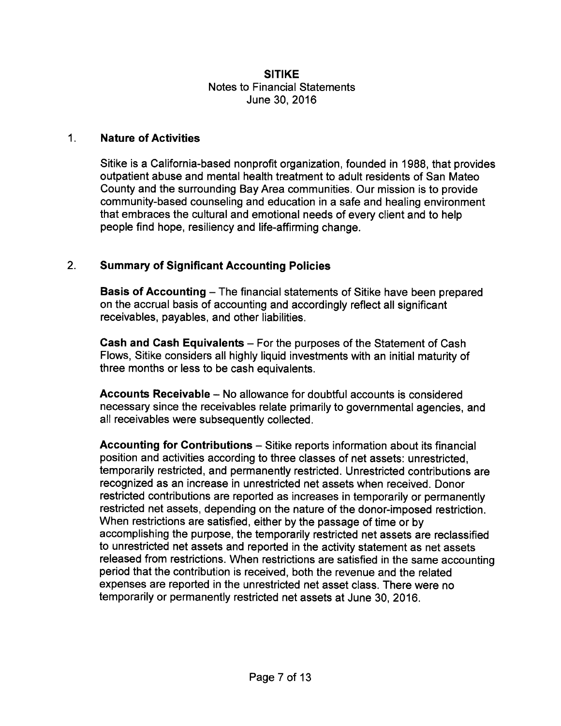### **SITIKE** Notes to Financial Statements June 30, 2016

#### 1. Nature of Activities

Sitike is a California-based nonprofit organization, founded in 1988, that provides outpatient abuse and mental health treatment to adult residents of San Mateo County and the surrounding Bay Area communities. Our mission is to provide community-based counseling and education in a safe and healing environment that embraces the cultural and emotional needs of every client and to help people find hope, resiliency and life-affirming change.

#### Summary of Significant Accounting Policies 2.

**Basis of Accounting** – The financial statements of Sitike have been prepared on the accrual basis of accounting and accordingly reflect all significant receivables, payables, and other liabilities.

Cash and Cash Equivalents - For the purposes of the Statement of Cash Flows, Sitike considers al! highly liquid investments with an initial maturity of three months or less to be cash equivalents.

Accounts Receivable - No allowance for doubtful accounts is considered necessary since the receivables relate primarily to governmental agencies, and all receivables were subsequently collected.

Accounting for Contributions - Sitike reports information about its financial position and activities according to three classes of net assets: unrestricted, temporarily restricted, and permanently restricted. Unrestricted contributions are recognized as an increase in unrestricted net assets when received. Donor restricted contributions are reported as increases in temporarily or permanently restricted net assets, depending on the nature of the donor-imposed restriction. When restrictions are satisfied, either by the passage of time or by accomplishing the purpose, the temporarily restricted net assets are reclassified to unrestricted net assets and reported in the activity statement as net assets released from restrictions. When restrictions are satisfied in the same accounting period that the contribution is received, both the revenue and the related expenses are reported in the unrestricted net asset class. There were no temporarily or permanently restricted net assets at June 30, 2016.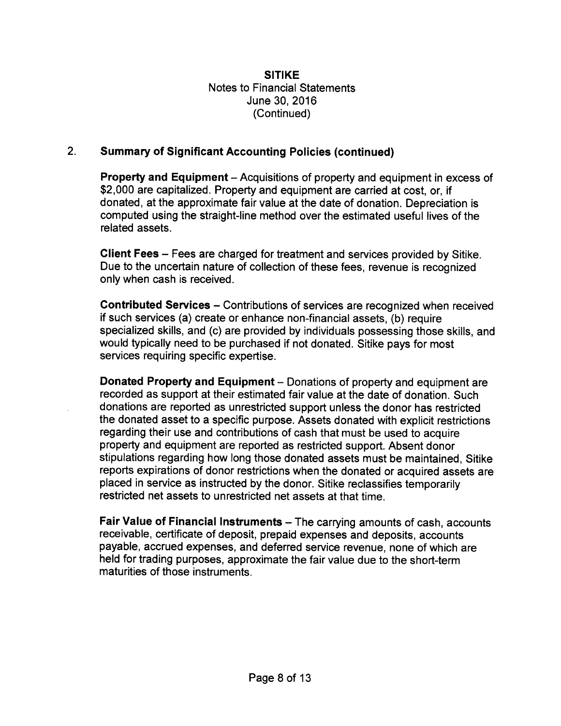SITIKE Notes to Financial Statements June 30, 2016 (Continued)

## 2. Summary of Significant Accounting Policies (continued)

Property and Equipment – Acquisitions of property and equipment in excess of \$2,000 are capitalized. Property and equipment are carried at cost, or, if donated, at the approximate fair value at the date of donation. Depreciation is computed using the straight-line method over the estimated useful lives of the related assets.

CIient Fees - Fees are charged for treatment and services provided by Sitike. Due to the uncertain nature of collection of these fees, revenue is recognized only when cash is received.

Contributed Services - Contributions of services are recognized when received if such services (a) create or enhance non-financial assets, (b) require specialized skills, and (c) are provided by individuals possessing those skills, and would typically need to be purchased if not donated. Sitike pays for most services requiring specific expertise.

Donated Property and Equipment - Donations of property and equipment are recorded as support at their estimated fair value at the date of donation. Such donations are reported as unrestricted support unless the donor has restricted the donated asset to a specific purpose. Assets donated with explicit restrictions regarding their use and contributions of cash that must be used to acquire property and equipment are reported as restricted support. Absent donor stipulations regarding how Iong those donated assets must be maintained, Sitike reports expirations of donor restrictions when the donated or acquired assets are placed in service as instructed by the donor. Sitike reclassifies temporarily restricted net assets to unrestricted net assets at that time.

Fair Value of Financial Instruments - The carrying amounts of cash, accounts receivable, certificate of deposit, prepaid expenses and deposits, accounts payable, accrued expenses, and deferred service revenue, none of which are held for trading purposes, approximate the fair value due to the short-term maturities of those instruments.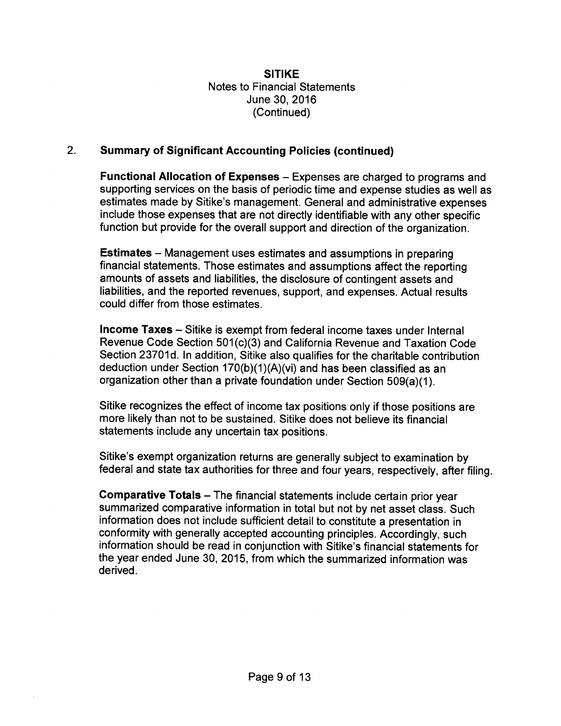SITIKE Notes to Financial Statements June 30, 2016 (Continued)

### 2. Summary of Significant Accounting Policies (continued)

Functional Allocation of Expenses – Expenses are charged to programs and supporting services on the basis of periodic time and expense studies as well as estimates made by Sitike's management. General and administrative expenses include those expenses that are not directly identifiable with any other specific function but provide for the overall support and direction of the organization.

Estimates - Management uses estimates and assumptions in preparing financial statements. Those estimates and assumptions affect the reporting amounts of assets and liabilities, the disclosure of contingent assets and liabilities, and the reported revenues, support, and expenses. Actual results could differ from those estimates.

lncome Taxes - Sitike is exempt from federal income taxes under Internal Revenue Code Section 501(c)(3) and California Revenue and Taxation Code Section 23701d. In addition, Sitike also qualifies for the charitable contribution deduction under Section  $170(b)(1)(A)(vi)$  and has been classified as an organization other than a private foundation under Section 509(a)(1).

Sitike recognizes the effect of income tax positions only if those positions are more likely than not to be sustained. Sitike does not believe its financial statements include any uncertain tax positions.

Sitike's exempt organization returns are generally subject to examination by federal and state tax authorities for three and four years, respectively, after filing.

Comparative Totals - The financial statements include certain prior year summarized comparative information in total but not by net asset class. Such information does not include sufficient detail to constitute a presentation in conformity with generally accepted accounting principles. Accordingly, such information should be read in conjunction with Sitike's financial statements for the year ended June 30, 2015, from which the summarized information was derived.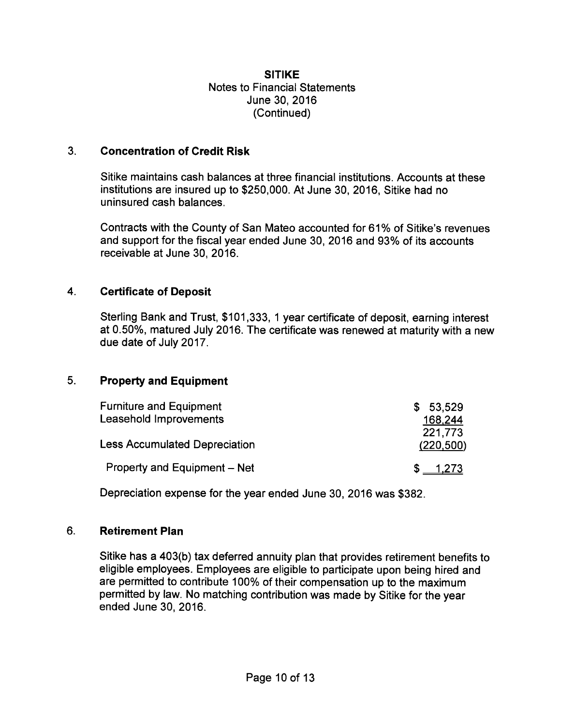SITIKE Notes to Financial Statements June 30, 2016 (Continued)

#### 3. Goncentration of Gredit Risk

Sitike maintains cash balances at three financial institutions. Accounts at these institutions are insured up to \$250,000. At June 30, 2016, Sitike had no uninsured cash balances.

Contracts with the County of San Mateo accounted for 61% of Sitike's revenues and support for the fiscal year ended June 30, 2016 and 93% of its accounts receivable at June 30, 2016.

#### Certificate of Deposit 4.

Sterling Bank and Trust, \$101,333, 1 year certificate of deposit, earning interest at 0.50%, matured July 2016. The certificate was renewed at maturity with a new due date of July 2017.

### 5. Property and Equipment

| <b>Furniture and Equipment</b><br>Leasehold Improvements | \$53,529<br>168,244   |
|----------------------------------------------------------|-----------------------|
| <b>Less Accumulated Depreciation</b>                     | 221,773<br>(220, 500) |
| Property and Equipment – Net                             | \$ 1,273              |

Depreciation expense for the year ended June 30, 2016 was \$382.

#### Retirement Plan 6.

Sitike has a 403(b) tax deferred annuity plan that provides retirement benefits to eligible employees. Employees are eligible to participate upon being hired and are permitted to contribute 100% of their compensation up to the maximum permitted by law. No matching contribution was made by Sitike for the year ended June 30, 2016.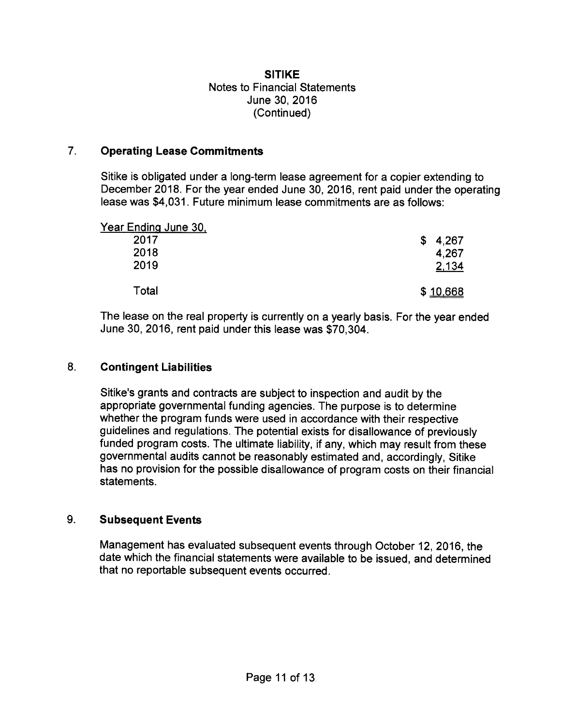SlTIKE Notes to Financial Statements June 30, 2016 (Continued)

### 7. Operating Lease Commitments

Sitike is obligated under a long-term Iease agreement for a copier extending to December 2018. For the year ended June 30, 2016, rent paid under the operating lease was \$4,031. Future minimum lease commitments are as follows:

| Year Ending June 30, |          |
|----------------------|----------|
| 2017                 | 4,267    |
| 2018                 | 4,267    |
| 2019                 | 2,134    |
| Total                | \$10,668 |

The lease on the real property is currently on a yearly basis. For the year ended June 30, 2016, rent paid under this lease was \$70,304.

### 8. Contingent Liabilities

Sitike's grants and contracts are subject to inspection and audit by the appropriate governmental funding agencies. The purpose is to determine whether the program funds were used in accordance with their respective guidelines and regulations. The potential exists for disallowance of previously funded program costs. The ultimate liability, if any, which may result from these governmental audits cannot be reasonably estimated and, accordingly, Sitike has no provision for the possible disallowance of program costs on their financial statements.

### 9. Subsequent Events

Management has evaluated subsequent events through October 12,2016, the date which the financial statements were available to be issued, and determined that no reportable subsequent events occurred.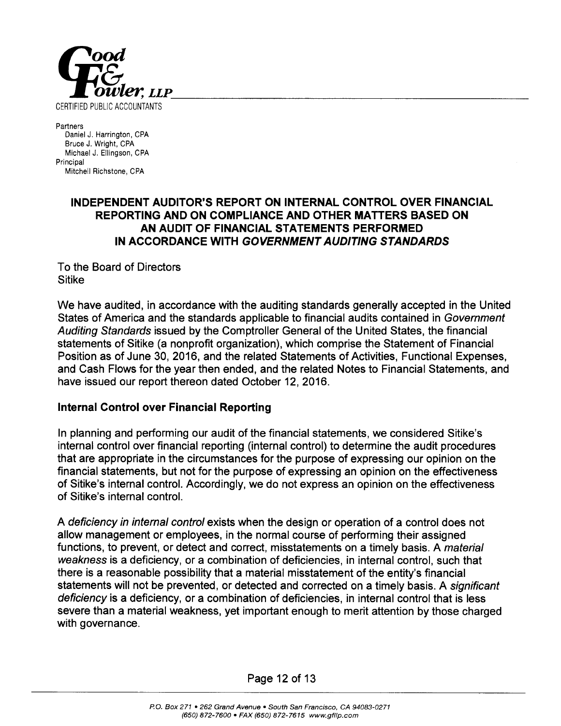

Partners Daniel J. Harrington, CPA Bruce J. Wright, CPA Michael J. Ellingson, CPA Principal Mitchell Richstone, CPA

### INDEPENDENT AUDITOR'S REPORT ON INTERNAL CONTROL OVER FINANCIAL REPORTING AND ON COMPLIANCE AND OTHER MATTERS BASED ON AN AUDIT OF FINANCIAL STATEMENTS PERFORMED IN ACCORDANCE WITH GOVERNMENT AUDITING STANDARDS

To the Board of Directors Sitike

We have audited, in accordance with the auditing standards generally accepted in the United States of America and the standards applicable to financial audits contained in Govemment Auditing Standards issued by the Comptroller General of the United States, the financial statements of Sitike (a nonprofit organization), which comprise the Statement of Financial Position as of June 30, 2016, and the related Statements of Activities, Functional Expenses, and Cash FIows for the year then ended, and the related Notes to Financial Statements, and have issued our report thereon dated October 12, 2016.

### lnternal Contro! over Financial Reporting

In planning and performing our audit of the financial statements, we considered Sitike's internal control over financial reporting (internal control) to determine the audit procedures that are appropriate in the circumstances for the purpose of expressing our opinion on the financial statements, but not for the purpose of expressing an opinion on the effectiveness of Sitike's internal control. Accordingly, we do not express an opinion on the effectiveness of Sitike's internal control.

A deficiency in internal control exists when the design or operation of a control does not allow management or employees, in the normal course of performing their assigned functions, to prevent, or detect and correct, misstatements on a timely basis. A material weakness is a deficiency, or a combination of deficiencies, in internal control, such that there is a reasonable possibility that a material misstatement of the entity's financial statements will not be prevented, or detected and corrected on a timely basis. A significant deficiency is a deficiency, or a combination of deficiencies, in internal control that is less severe than a material weakness, yet important enough to merit attention by those charged with governance.

Page 12 of 13